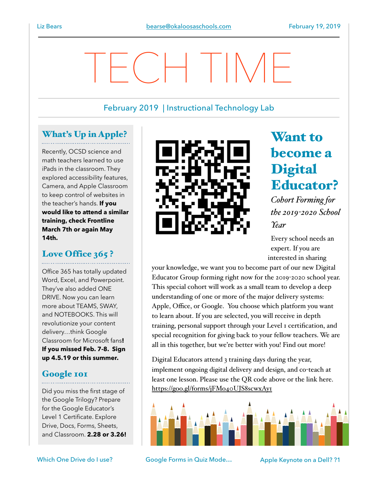February 2019 | Instructional Technology Lab

TECH TIME

### What's Up in Apple?

Recently, OCSD science and math teachers learned to use iPads in the classroom. They explored accessibility features, Camera, and Apple Classroom to keep control of websites in the teacher's hands. **If you would like to attend a similar training, check Frontline March 7th or again May 14th.**

## Love Office 365?

Office 365 has totally updated Word, Excel, and Powerpoint. They've also added ONE DRIVE. Now you can learn more about TEAMS, SWAY, and NOTEBOOKS. This will revolutionize your content delivery…think Google Classroom for Microsoft fans**! If you missed Feb. 7-8. Sign up 4.5.19 or this summer.** 

### Google 101

Did you miss the first stage of the Google Trilogy? Prepare for the Google Educator's Level 1 Certificate. Explore Drive, Docs, Forms, Sheets, and Classroom. **2.28 or 3.26!**



# Want to become a **Digital** Educator?

*Cohort Forming for the 2019-2020 School Year*

Every school needs an expert. If you are interested in sharing

your knowledge, we want you to become part of our new Digital Educator Group forming right now for the 2019-2020 school year. This special cohort will work as a small team to develop a deep understanding of one or more of the major delivery systems: Apple, Office, or Google. You choose which platform you want to learn about. If you are selected, you will receive in depth training, personal support through your Level 1 certification, and special recognition for giving back to your fellow teachers. We are all in this together, but we're better with you! Find out more!

Digital Educators attend 3 training days during the year, implement ongoing digital delivery and design, and co-teach at least one lesson. Please use the QR code above or the link here. <https://goo.gl/forms/jFMo40UJS8scwxAy1>



Which One Drive do I use? Google Forms in Quiz Mode... Apple Keynote on a Dell? ?1